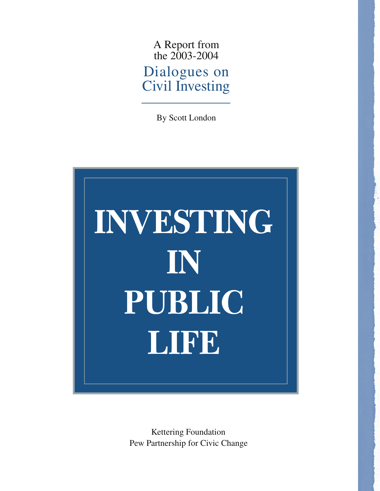A Report from the 2003-2004 Dialogues on Civil Investing

By Scott London



Kettering Foundation Pew Partnership for Civic Change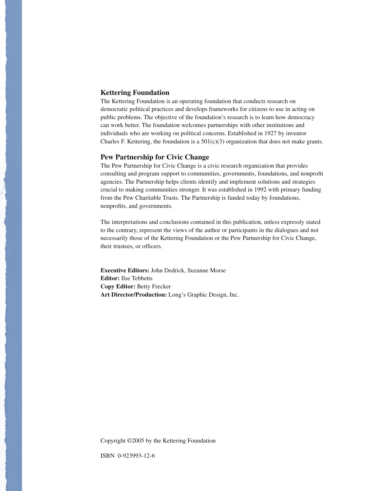#### **Kettering Foundation**

The Kettering Foundation is an operating foundation that conducts research on democratic political practices and develops frameworks for citizens to use in acting on public problems. The objective of the foundation's research is to learn how democracy can work better. The foundation welcomes partnerships with other institutions and individuals who are working on political concerns. Established in 1927 by inventor Charles F. Kettering, the foundation is a  $501(c)(3)$  organization that does not make grants.

#### **Pew Partnership for Civic Change**

The Pew Partnership for Civic Change is a civic research organization that provides consulting and program support to communities, governments, foundations, and nonprofit agencies. The Partnership helps clients identify and implement solutions and strategies crucial to making communities stronger. It was established in 1992 with primary funding from the Pew Charitable Trusts. The Partnership is funded today by foundations, nonprofits, and governments.

The interpretations and conclusions contained in this publication, unless expressly stated to the contrary, represent the views of the author or participants in the dialogues and not necessarily those of the Kettering Foundation or the Pew Partnership for Civic Change, their trustees, or officers.

**Executive Editors:** John Dedrick, Suzanne Morse **Editor:** Ilse Tebbetts **Copy Editor:** Betty Frecker **Art Director/Production:** Long's Graphic Design, Inc.

Copyright ©2005 by the Kettering Foundation

ISBN 0-923993-12-6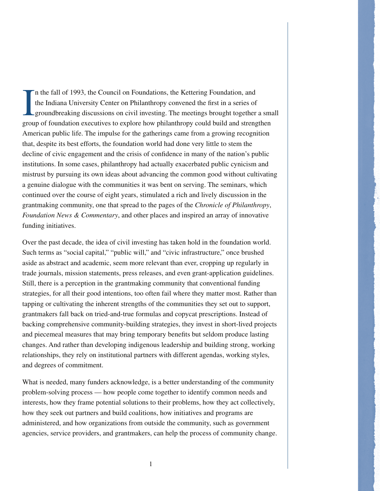I n the fall of 1993, the Council on Foundations, the Kettering Foundation, and the Indiana University Center on Philanthropy convened the first in a series of groundbreaking discussions on civil investing. The meetings brought together a small group of foundation executives to explore how philanthropy could build and strengthen American public life. The impulse for the gatherings came from a growing recognition that, despite its best efforts, the foundation world had done very little to stem the decline of civic engagement and the crisis of confidence in many of the nation's public institutions. In some cases, philanthropy had actually exacerbated public cynicism and mistrust by pursuing its own ideas about advancing the common good without cultivating a genuine dialogue with the communities it was bent on serving. The seminars, which continued over the course of eight years, stimulated a rich and lively discussion in the grantmaking community, one that spread to the pages of the *Chronicle of Philanthropy*, *Foundation News & Commentary*, and other places and inspired an array of innovative funding initiatives.

Over the past decade, the idea of civil investing has taken hold in the foundation world. Such terms as "social capital," "public will," and "civic infrastructure," once brushed aside as abstract and academic, seem more relevant than ever, cropping up regularly in trade journals, mission statements, press releases, and even grant-application guidelines. Still, there is a perception in the grantmaking community that conventional funding strategies, for all their good intentions, too often fail where they matter most. Rather than tapping or cultivating the inherent strengths of the communities they set out to support, grantmakers fall back on tried-and-true formulas and copycat prescriptions. Instead of backing comprehensive community-building strategies, they invest in short-lived projects and piecemeal measures that may bring temporary benefits but seldom produce lasting changes. And rather than developing indigenous leadership and building strong, working relationships, they rely on institutional partners with different agendas, working styles, and degrees of commitment.

What is needed, many funders acknowledge, is a better understanding of the community problem-solving process — how people come together to identify common needs and interests, how they frame potential solutions to their problems, how they act collectively, how they seek out partners and build coalitions, how initiatives and programs are administered, and how organizations from outside the community, such as government agencies, service providers, and grantmakers, can help the process of community change.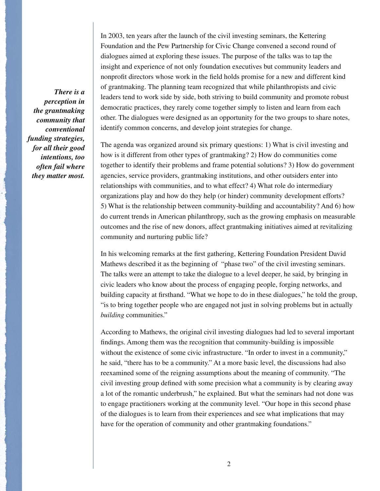*There is a perception in the grantmaking community that conventional funding strategies, for all their good intentions, too often fail where they matter most.* In 2003, ten years after the launch of the civil investing seminars, the Kettering Foundation and the Pew Partnership for Civic Change convened a second round of dialogues aimed at exploring these issues. The purpose of the talks was to tap the insight and experience of not only foundation executives but community leaders and nonprofit directors whose work in the field holds promise for a new and different kind of grantmaking. The planning team recognized that while philanthropists and civic leaders tend to work side by side, both striving to build community and promote robust democratic practices, they rarely come together simply to listen and learn from each other. The dialogues were designed as an opportunity for the two groups to share notes, identify common concerns, and develop joint strategies for change.

The agenda was organized around six primary questions: 1) What is civil investing and how is it different from other types of grantmaking? 2) How do communities come together to identify their problems and frame potential solutions? 3) How do government agencies, service providers, grantmaking institutions, and other outsiders enter into relationships with communities, and to what effect? 4) What role do intermediary organizations play and how do they help (or hinder) community development efforts? 5) What is the relationship between community-building and accountability? And 6) how do current trends in American philanthropy, such as the growing emphasis on measurable outcomes and the rise of new donors, affect grantmaking initiatives aimed at revitalizing community and nurturing public life?

In his welcoming remarks at the first gathering, Kettering Foundation President David Mathews described it as the beginning of "phase two" of the civil investing seminars. The talks were an attempt to take the dialogue to a level deeper, he said, by bringing in civic leaders who know about the process of engaging people, forging networks, and building capacity at firsthand. "What we hope to do in these dialogues," he told the group, "is to bring together people who are engaged not just in solving problems but in actually *building* communities."

According to Mathews, the original civil investing dialogues had led to several important findings. Among them was the recognition that community-building is impossible without the existence of some civic infrastructure. "In order to invest in a community," he said, "there has to be a community." At a more basic level, the discussions had also reexamined some of the reigning assumptions about the meaning of community. "The civil investing group defined with some precision what a community is by clearing away a lot of the romantic underbrush," he explained. But what the seminars had not done was to engage practitioners working at the community level. "Our hope in this second phase of the dialogues is to learn from their experiences and see what implications that may have for the operation of community and other grantmaking foundations."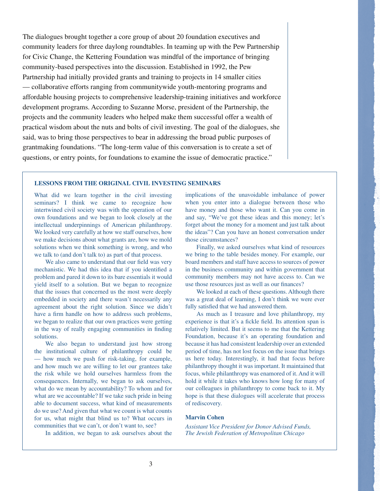The dialogues brought together a core group of about 20 foundation executives and community leaders for three daylong roundtables. In teaming up with the Pew Partnership for Civic Change, the Kettering Foundation was mindful of the importance of bringing community-based perspectives into the discussion. Established in 1992, the Pew Partnership had initially provided grants and training to projects in 14 smaller cities

— collaborative efforts ranging from communitywide youth-mentoring programs and affordable housing projects to comprehensive leadership-training initiatives and workforce development programs. According to Suzanne Morse, president of the Partnership, the projects and the community leaders who helped make them successful offer a wealth of practical wisdom about the nuts and bolts of civil investing. The goal of the dialogues, she said, was to bring those perspectives to bear in addressing the broad public purposes of grantmaking foundations. "The long-term value of this conversation is to create a set of questions, or entry points, for foundations to examine the issue of democratic practice."

## **LESSONS FROM THE ORIGINAL CIVIL INVESTING SEMINARS**

What did we learn together in the civil investing seminars? I think we came to recognize how intertwined civil society was with the operation of our own foundations and we began to look closely at the intellectual underpinnings of American philanthropy. We looked very carefully at how we staff ourselves, how we make decisions about what grants are, how we mold solutions when we think something is wrong, and who we talk to (and don't talk to) as part of that process.

We also came to understand that our field was very mechanistic. We had this idea that if you identified a problem and pared it down to its bare essentials it would yield itself to a solution. But we began to recognize that the issues that concerned us the most were deeply embedded in society and there wasn't necessarily any agreement about the right solution. Since we didn't have a firm handle on how to address such problems, we began to realize that our own practices were getting in the way of really engaging communities in finding solutions.

We also began to understand just how strong the institutional culture of philanthropy could be — how much we push for risk-taking, for example, and how much we are willing to let our grantees take the risk while we hold ourselves harmless from the consequences. Internally, we began to ask ourselves, what do we mean by accountability? To whom and for what are we accountable? If we take such pride in being able to document success, what kind of measurements do we use? And given that what we count is what counts for us, what might that blind us to? What occurs in communities that we can't, or don't want to, see?

In addition, we began to ask ourselves about the

implications of the unavoidable imbalance of power when you enter into a dialogue between those who have money and those who want it. Can you come in and say, "We've got these ideas and this money; let's forget about the money for a moment and just talk about the ideas"? Can you have an honest conversation under those circumstances?

Finally, we asked ourselves what kind of resources we bring to the table besides money. For example, our board members and staff have access to sources of power in the business community and within government that community members may not have access to. Can we use those resources just as well as our finances?

We looked at each of these questions. Although there was a great deal of learning, I don't think we were ever fully satisfied that we had answered them.

As much as I treasure and love philanthropy, my experience is that it's a fickle field. Its attention span is relatively limited. But it seems to me that the Kettering Foundation, because it's an operating foundation and because it has had consistent leadership over an extended period of time, has not lost focus on the issue that brings us here today. Interestingly, it had that focus before philanthropy thought it was important. It maintained that focus, while philanthropy was enamored of it. And it will hold it while it takes who knows how long for many of our colleagues in philanthropy to come back to it. My hope is that these dialogues will accelerate that process of rediscovery.

#### **Marvin Cohen**

*Assistant Vice President for Donor Advised Funds, The Jewish Federation of Metropolitan Chicago*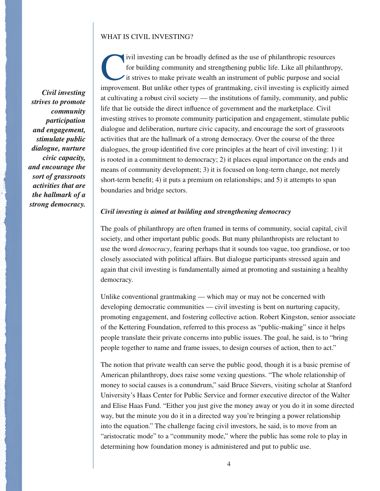### WHAT IS CIVIL INVESTING?

*Civil investing strives to promote community participation and engagement, stimulate public dialogue, nurture civic capacity, and encourage the sort of grassroots activities that are the hallmark of a strong democracy.*

ivil investing can be broadly defined as the use of philanthropic resources for building community and strengthening public life. Like all philanthropy, it strives to make private wealth an instrument of public purpose and social improvement. But unlike other types of grantmaking, civil investing is explicitly aimed at cultivating a robust civil society — the institutions of family, community, and public life that lie outside the direct influence of government and the marketplace. Civil investing strives to promote community participation and engagement, stimulate public dialogue and deliberation, nurture civic capacity, and encourage the sort of grassroots activities that are the hallmark of a strong democracy. Over the course of the three dialogues, the group identified five core principles at the heart of civil investing:  $1$ ) it is rooted in a commitment to democracy; 2) it places equal importance on the ends and means of community development; 3) it is focused on long-term change, not merely short-term benefit; 4) it puts a premium on relationships; and 5) it attempts to span boundaries and bridge sectors.

# *Civil investing is aimed at building and strengthening democracy*

The goals of philanthropy are often framed in terms of community, social capital, civil society, and other important public goods. But many philanthropists are reluctant to use the word *democracy*, fearing perhaps that it sounds too vague, too grandiose, or too closely associated with political affairs. But dialogue participants stressed again and again that civil investing is fundamentally aimed at promoting and sustaining a healthy democracy.

Unlike conventional grantmaking — which may or may not be concerned with developing democratic communities — civil investing is bent on nurturing capacity, promoting engagement, and fostering collective action. Robert Kingston, senior associate of the Kettering Foundation, referred to this process as "public-making" since it helps people translate their private concerns into public issues. The goal, he said, is to "bring people together to name and frame issues, to design courses of action, then to act."

The notion that private wealth can serve the public good, though it is a basic premise of American philanthropy, does raise some vexing questions. "The whole relationship of money to social causes is a conundrum," said Bruce Sievers, visiting scholar at Stanford University's Haas Center for Public Service and former executive director of the Walter and Elise Haas Fund. "Either you just give the money away or you do it in some directed way, but the minute you do it in a directed way you're bringing a power relationship into the equation." The challenge facing civil investors, he said, is to move from an "aristocratic mode" to a "community mode," where the public has some role to play in determining how foundation money is administered and put to public use.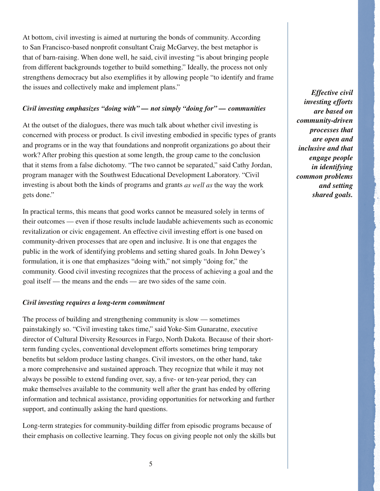At bottom, civil investing is aimed at nurturing the bonds of community. According to San Francisco-based nonprofi t consultant Craig McGarvey, the best metaphor is that of barn-raising. When done well, he said, civil investing "is about bringing people from different backgrounds together to build something." Ideally, the process not only strengthens democracy but also exemplifies it by allowing people "to identify and frame the issues and collectively make and implement plans."

# *Civil investing emphasizes "doing with" — not simply "doing for" — communities*

At the outset of the dialogues, there was much talk about whether civil investing is concerned with process or product. Is civil investing embodied in specific types of grants and programs or in the way that foundations and nonprofi t organizations go about their work? After probing this question at some length, the group came to the conclusion that it stems from a false dichotomy. "The two cannot be separated," said Cathy Jordan, program manager with the Southwest Educational Development Laboratory. "Civil investing is about both the kinds of programs and grants *as well as* the way the work gets done."

In practical terms, this means that good works cannot be measured solely in terms of their outcomes — even if those results include laudable achievements such as economic revitalization or civic engagement. An effective civil investing effort is one based on community-driven processes that are open and inclusive. It is one that engages the public in the work of identifying problems and setting shared goals. In John Dewey's formulation, it is one that emphasizes "doing with," not simply "doing for," the community. Good civil investing recognizes that the process of achieving a goal and the goal itself — the means and the ends — are two sides of the same coin.

## *Civil investing requires a long-term commitment*

The process of building and strengthening community is slow — sometimes painstakingly so. "Civil investing takes time," said Yoke-Sim Gunaratne, executive director of Cultural Diversity Resources in Fargo, North Dakota. Because of their shortterm funding cycles, conventional development efforts sometimes bring temporary benefits but seldom produce lasting changes. Civil investors, on the other hand, take a more comprehensive and sustained approach. They recognize that while it may not always be possible to extend funding over, say, a five- or ten-year period, they can make themselves available to the community well after the grant has ended by offering information and technical assistance, providing opportunities for networking and further support, and continually asking the hard questions.

Long-term strategies for community-building differ from episodic programs because of their emphasis on collective learning. They focus on giving people not only the skills but

*Effective civil investing efforts are based on community-driven processes that are open and inclusive and that engage people in identifying common problems and setting shared goals.*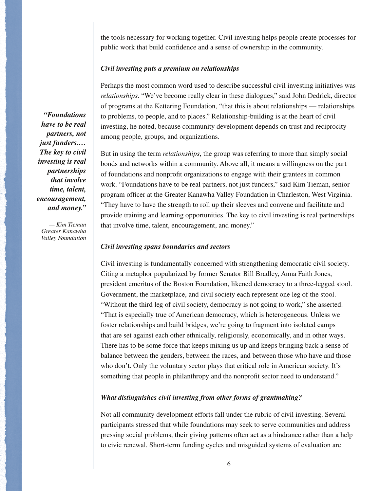the tools necessary for working together. Civil investing helps people create processes for public work that build confidence and a sense of ownership in the community.

#### *Civil investing puts a premium on relationships*

Perhaps the most common word used to describe successful civil investing initiatives was *relationships*. "We've become really clear in these dialogues," said John Dedrick, director of programs at the Kettering Foundation, "that this is about relationships — relationships to problems, to people, and to places." Relationship-building is at the heart of civil investing, he noted, because community development depends on trust and reciprocity among people, groups, and organizations.

But in using the term *relationships*, the group was referring to more than simply social bonds and networks within a community. Above all, it means a willingness on the part of foundations and nonprofi t organizations to engage with their grantees in common work. "Foundations have to be real partners, not just funders," said Kim Tieman, senior program officer at the Greater Kanawha Valley Foundation in Charleston, West Virginia. "They have to have the strength to roll up their sleeves and convene and facilitate and provide training and learning opportunities. The key to civil investing is real partnerships that involve time, talent, encouragement, and money."

#### *Civil investing spans boundaries and sectors*

Civil investing is fundamentally concerned with strengthening democratic civil society. Citing a metaphor popularized by former Senator Bill Bradley, Anna Faith Jones, president emeritus of the Boston Foundation, likened democracy to a three-legged stool. Government, the marketplace, and civil society each represent one leg of the stool. "Without the third leg of civil society, democracy is not going to work," she asserted. "That is especially true of American democracy, which is heterogeneous. Unless we foster relationships and build bridges, we're going to fragment into isolated camps that are set against each other ethnically, religiously, economically, and in other ways. There has to be some force that keeps mixing us up and keeps bringing back a sense of balance between the genders, between the races, and between those who have and those who don't. Only the voluntary sector plays that critical role in American society. It's something that people in philanthropy and the nonprofit sector need to understand."

## *What distinguishes civil investing from other forms of grantmaking?*

Not all community development efforts fall under the rubric of civil investing. Several participants stressed that while foundations may seek to serve communities and address pressing social problems, their giving patterns often act as a hindrance rather than a help to civic renewal. Short-term funding cycles and misguided systems of evaluation are

*"Foundations have to be real partners, not just funders.… The key to civil investing is real partnerships that involve time, talent, encouragement, and money."*

*— Kim Tieman Greater Kanawha Valley Foundation*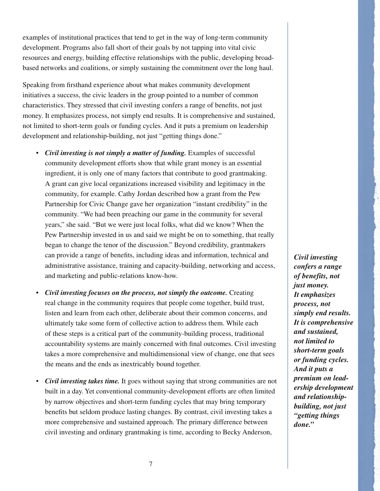examples of institutional practices that tend to get in the way of long-term community development. Programs also fall short of their goals by not tapping into vital civic resources and energy, building effective relationships with the public, developing broadbased networks and coalitions, or simply sustaining the commitment over the long haul.

Speaking from firsthand experience about what makes community development initiatives a success, the civic leaders in the group pointed to a number of common characteristics. They stressed that civil investing confers a range of benefits, not just money. It emphasizes process, not simply end results. It is comprehensive and sustained, not limited to short-term goals or funding cycles. And it puts a premium on leadership development and relationship-building, not just "getting things done."

- *Civil investing is not simply a matter of funding.* Examples of successful community development efforts show that while grant money is an essential ingredient, it is only one of many factors that contribute to good grantmaking. A grant can give local organizations increased visibility and legitimacy in the community, for example. Cathy Jordan described how a grant from the Pew Partnership for Civic Change gave her organization "instant credibility" in the community. "We had been preaching our game in the community for several years," she said. "But we were just local folks, what did we know? When the Pew Partnership invested in us and said we might be on to something, that really began to change the tenor of the discussion." Beyond credibility, grantmakers can provide a range of benefits, including ideas and information, technical and administrative assistance, training and capacity-building, networking and access, and marketing and public-relations know-how.
- *Civil investing focuses on the process, not simply the outcome.* Creating real change in the community requires that people come together, build trust, listen and learn from each other, deliberate about their common concerns, and ultimately take some form of collective action to address them. While each of these steps is a critical part of the community-building process, traditional accountability systems are mainly concerned with final outcomes. Civil investing takes a more comprehensive and multidimensional view of change, one that sees the means and the ends as inextricably bound together.
- *Civil investing takes time.* It goes without saying that strong communities are not built in a day. Yet conventional community-development efforts are often limited by narrow objectives and short-term funding cycles that may bring temporary benefits but seldom produce lasting changes. By contrast, civil investing takes a more comprehensive and sustained approach. The primary difference between civil investing and ordinary grantmaking is time, according to Becky Anderson,

*Civil investing confers a range of benefits, not just money. It emphasizes process, not simply end results. It is comprehensive and sustained, not limited to short-term goals or funding cycles. And it puts a premium on leadership development and relationshipbuilding, not just "getting things done."*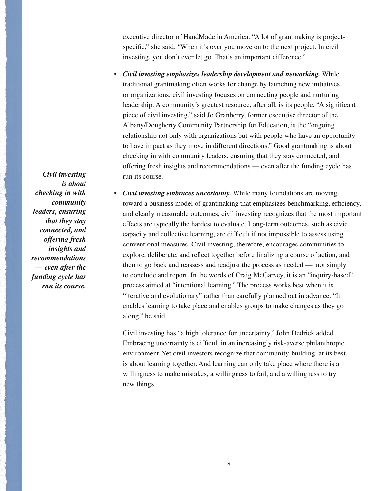executive director of HandMade in America. "A lot of grantmaking is projectspecific," she said. "When it's over you move on to the next project. In civil investing, you don't ever let go. That's an important difference."

- *Civil investing emphasizes leadership development and networking.* While traditional grantmaking often works for change by launching new initiatives or organizations, civil investing focuses on connecting people and nurturing leadership. A community's greatest resource, after all, is its people. "A significant piece of civil investing," said Jo Granberry, former executive director of the Albany/Dougherty Community Partnership for Education, is the "ongoing relationship not only with organizations but with people who have an opportunity to have impact as they move in different directions." Good grantmaking is about checking in with community leaders, ensuring that they stay connected, and offering fresh insights and recommendations — even after the funding cycle has run its course.
- *Civil investing embraces uncertainty.* While many foundations are moving toward a business model of grantmaking that emphasizes benchmarking, efficiency, and clearly measurable outcomes, civil investing recognizes that the most important effects are typically the hardest to evaluate. Long-term outcomes, such as civic capacity and collective learning, are difficult if not impossible to assess using conventional measures. Civil investing, therefore, encourages communities to explore, deliberate, and reflect together before finalizing a course of action, and then to go back and reassess and readjust the process as needed — not simply to conclude and report. In the words of Craig McGarvey, it is an "inquiry-based" process aimed at "intentional learning." The process works best when it is "iterative and evolutionary" rather than carefully planned out in advance. "It enables learning to take place and enables groups to make changes as they go along," he said.

Civil investing has "a high tolerance for uncertainty," John Dedrick added. Embracing uncertainty is difficult in an increasingly risk-averse philanthropic environment. Yet civil investors recognize that community-building, at its best, is about learning together. And learning can only take place where there is a willingness to make mistakes, a willingness to fail, and a willingness to try new things.

*Civil investing is about checking in with community leaders, ensuring that they stay connected, and offering fresh insights and recommendations — even after the funding cycle has run its course.*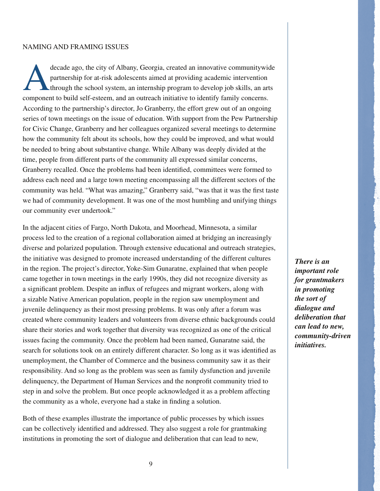#### NAMING AND FRAMING ISSUES

decade ago, the city of Albany, Georgia, created an innovative communitywide<br>partnership for at-risk adolescents aimed at providing academic intervention<br>through the school system, an internship program to develop job skil partnership for at-risk adolescents aimed at providing academic intervention through the school system, an internship program to develop job skills, an arts component to build self-esteem, and an outreach initiative to identify family concerns. According to the partnership's director, Jo Granberry, the effort grew out of an ongoing series of town meetings on the issue of education. With support from the Pew Partnership for Civic Change, Granberry and her colleagues organized several meetings to determine how the community felt about its schools, how they could be improved, and what would be needed to bring about substantive change. While Albany was deeply divided at the time, people from different parts of the community all expressed similar concerns, Granberry recalled. Once the problems had been identified, committees were formed to address each need and a large town meeting encompassing all the different sectors of the community was held. "What was amazing," Granberry said, "was that it was the first taste we had of community development. It was one of the most humbling and unifying things our community ever undertook."

In the adjacent cities of Fargo, North Dakota, and Moorhead, Minnesota, a similar process led to the creation of a regional collaboration aimed at bridging an increasingly diverse and polarized population. Through extensive educational and outreach strategies, the initiative was designed to promote increased understanding of the different cultures in the region. The project's director, Yoke-Sim Gunaratne, explained that when people came together in town meetings in the early 1990s, they did not recognize diversity as a significant problem. Despite an influx of refugees and migrant workers, along with a sizable Native American population, people in the region saw unemployment and juvenile delinquency as their most pressing problems. It was only after a forum was created where community leaders and volunteers from diverse ethnic backgrounds could share their stories and work together that diversity was recognized as one of the critical issues facing the community. Once the problem had been named, Gunaratne said, the search for solutions took on an entirely different character. So long as it was identified as unemployment, the Chamber of Commerce and the business community saw it as their responsibility. And so long as the problem was seen as family dysfunction and juvenile delinquency, the Department of Human Services and the nonprofit community tried to step in and solve the problem. But once people acknowledged it as a problem affecting the community as a whole, everyone had a stake in finding a solution.

Both of these examples illustrate the importance of public processes by which issues can be collectively identified and addressed. They also suggest a role for grantmaking institutions in promoting the sort of dialogue and deliberation that can lead to new,

*There is an important role for grantmakers in promoting the sort of dialogue and deliberation that can lead to new, community-driven initiatives.*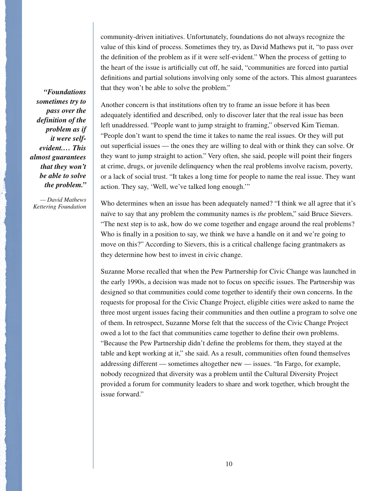community-driven initiatives. Unfortunately, foundations do not always recognize the value of this kind of process. Sometimes they try, as David Mathews put it, "to pass over the definition of the problem as if it were self-evident." When the process of getting to the heart of the issue is artificially cut off, he said, "communities are forced into partial definitions and partial solutions involving only some of the actors. This almost guarantees that they won't be able to solve the problem."

*sometimes try to pass over the definition of the problem as if it were selfevident.… This almost guarantees that they won't be able to solve the problem."*

*— David Mathews Kettering Foundation*

*"Foundations* 

Another concern is that institutions often try to frame an issue before it has been adequately identified and described, only to discover later that the real issue has been left unaddressed. "People want to jump straight to framing," observed Kim Tieman. "People don't want to spend the time it takes to name the real issues. Or they will put out superficial issues — the ones they are willing to deal with or think they can solve. Or they want to jump straight to action." Very often, she said, people will point their fingers at crime, drugs, or juvenile delinquency when the real problems involve racism, poverty, or a lack of social trust. "It takes a long time for people to name the real issue. They want action. They say, 'Well, we've talked long enough.'"

Who determines when an issue has been adequately named? "I think we all agree that it's naïve to say that any problem the community names is *the* problem," said Bruce Sievers. "The next step is to ask, how do we come together and engage around the real problems? Who is finally in a position to say, we think we have a handle on it and we're going to move on this?" According to Sievers, this is a critical challenge facing grantmakers as they determine how best to invest in civic change.

Suzanne Morse recalled that when the Pew Partnership for Civic Change was launched in the early 1990s, a decision was made not to focus on specific issues. The Partnership was designed so that communities could come together to identify their own concerns. In the requests for proposal for the Civic Change Project, eligible cities were asked to name the three most urgent issues facing their communities and then outline a program to solve one of them. In retrospect, Suzanne Morse felt that the success of the Civic Change Project owed a lot to the fact that communities came together to define their own problems. "Because the Pew Partnership didn't define the problems for them, they stayed at the table and kept working at it," she said. As a result, communities often found themselves addressing different — sometimes altogether new — issues. "In Fargo, for example, nobody recognized that diversity was a problem until the Cultural Diversity Project provided a forum for community leaders to share and work together, which brought the issue forward."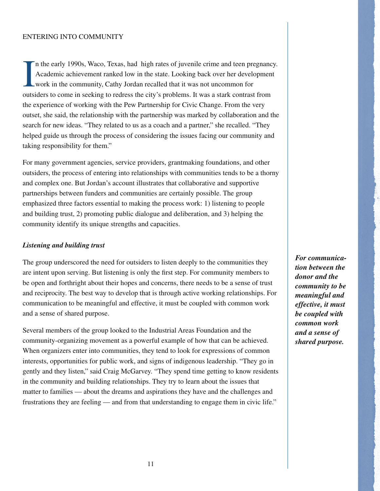#### ENTERING INTO COMMUNITY

I n the early 1990s, Waco, Texas, had high rates of juvenile crime and teen pregnancy. Academic achievement ranked low in the state. Looking back over her development work in the community, Cathy Jordan recalled that it was not uncommon for outsiders to come in seeking to redress the city's problems. It was a stark contrast from the experience of working with the Pew Partnership for Civic Change. From the very outset, she said, the relationship with the partnership was marked by collaboration and the search for new ideas. "They related to us as a coach and a partner," she recalled. "They helped guide us through the process of considering the issues facing our community and taking responsibility for them."

For many government agencies, service providers, grantmaking foundations, and other outsiders, the process of entering into relationships with communities tends to be a thorny and complex one. But Jordan's account illustrates that collaborative and supportive partnerships between funders and communities are certainly possible. The group emphasized three factors essential to making the process work: 1) listening to people and building trust, 2) promoting public dialogue and deliberation, and 3) helping the community identify its unique strengths and capacities.

## *Listening and building trust*

The group underscored the need for outsiders to listen deeply to the communities they are intent upon serving. But listening is only the first step. For community members to be open and forthright about their hopes and concerns, there needs to be a sense of trust and reciprocity. The best way to develop that is through active working relationships. For communication to be meaningful and effective, it must be coupled with common work and a sense of shared purpose.

Several members of the group looked to the Industrial Areas Foundation and the community-organizing movement as a powerful example of how that can be achieved. When organizers enter into communities, they tend to look for expressions of common interests, opportunities for public work, and signs of indigenous leadership. "They go in gently and they listen," said Craig McGarvey. "They spend time getting to know residents in the community and building relationships. They try to learn about the issues that matter to families — about the dreams and aspirations they have and the challenges and frustrations they are feeling — and from that understanding to engage them in civic life."

*For communication between the donor and the community to be meaningful and effective, it must be coupled with common work and a sense of shared purpose.*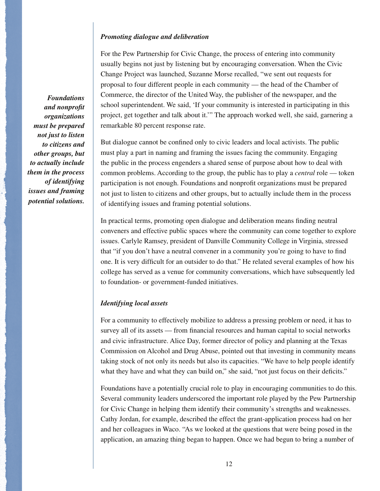## *Promoting dialogue and deliberation*

For the Pew Partnership for Civic Change, the process of entering into community usually begins not just by listening but by encouraging conversation. When the Civic Change Project was launched, Suzanne Morse recalled, "we sent out requests for proposal to four different people in each community — the head of the Chamber of Commerce, the director of the United Way, the publisher of the newspaper, and the school superintendent. We said, 'If your community is interested in participating in this project, get together and talk about it.'" The approach worked well, she said, garnering a remarkable 80 percent response rate.

But dialogue cannot be confined only to civic leaders and local activists. The public must play a part in naming and framing the issues facing the community. Engaging the public in the process engenders a shared sense of purpose about how to deal with common problems. According to the group, the public has to play a *central* role — token participation is not enough. Foundations and nonprofi t organizations must be prepared not just to listen to citizens and other groups, but to actually include them in the process of identifying issues and framing potential solutions.

In practical terms, promoting open dialogue and deliberation means finding neutral conveners and effective public spaces where the community can come together to explore issues. Carlyle Ramsey, president of Danville Community College in Virginia, stressed that "if you don't have a neutral convener in a community you're going to have to find one. It is very difficult for an outsider to do that." He related several examples of how his college has served as a venue for community conversations, which have subsequently led to foundation- or government-funded initiatives.

### *Identifying local assets*

For a community to effectively mobilize to address a pressing problem or need, it has to survey all of its assets — from financial resources and human capital to social networks and civic infrastructure. Alice Day, former director of policy and planning at the Texas Commission on Alcohol and Drug Abuse, pointed out that investing in community means taking stock of not only its needs but also its capacities. "We have to help people identify what they have and what they can build on," she said, "not just focus on their deficits."

Foundations have a potentially crucial role to play in encouraging communities to do this. Several community leaders underscored the important role played by the Pew Partnership for Civic Change in helping them identify their community's strengths and weaknesses. Cathy Jordan, for example, described the effect the grant-application process had on her and her colleagues in Waco. "As we looked at the questions that were being posed in the application, an amazing thing began to happen. Once we had begun to bring a number of

*Foundations and nonprofit organizations must be prepared not just to listen to citizens and other groups, but to actually include them in the process of identifying issues and framing potential solutions.*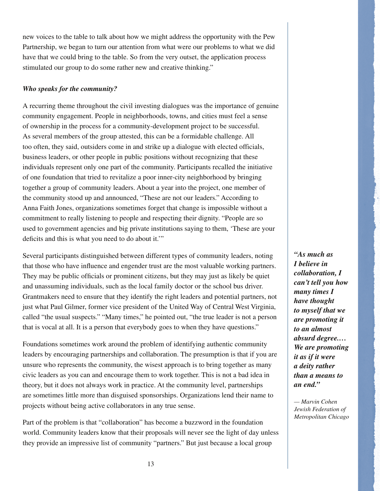new voices to the table to talk about how we might address the opportunity with the Pew Partnership, we began to turn our attention from what were our problems to what we did have that we could bring to the table. So from the very outset, the application process stimulated our group to do some rather new and creative thinking."

# *Who speaks for the community?*

A recurring theme throughout the civil investing dialogues was the importance of genuine community engagement. People in neighborhoods, towns, and cities must feel a sense of ownership in the process for a community-development project to be successful. As several members of the group attested, this can be a formidable challenge. All too often, they said, outsiders come in and strike up a dialogue with elected officials, business leaders, or other people in public positions without recognizing that these individuals represent only one part of the community. Participants recalled the initiative of one foundation that tried to revitalize a poor inner-city neighborhood by bringing together a group of community leaders. About a year into the project, one member of the community stood up and announced, "These are not our leaders." According to Anna Faith Jones, organizations sometimes forget that change is impossible without a commitment to really listening to people and respecting their dignity. "People are so used to government agencies and big private institutions saying to them, 'These are your deficits and this is what you need to do about it."

Several participants distinguished between different types of community leaders, noting that those who have influence and engender trust are the most valuable working partners. They may be public officials or prominent citizens, but they may just as likely be quiet and unassuming individuals, such as the local family doctor or the school bus driver. Grantmakers need to ensure that they identify the right leaders and potential partners, not just what Paul Gilmer, former vice president of the United Way of Central West Virginia, called "the usual suspects." "Many times," he pointed out, "the true leader is not a person that is vocal at all. It is a person that everybody goes to when they have questions."

Foundations sometimes work around the problem of identifying authentic community leaders by encouraging partnerships and collaboration. The presumption is that if you are unsure who represents the community, the wisest approach is to bring together as many civic leaders as you can and encourage them to work together. This is not a bad idea in theory, but it does not always work in practice. At the community level, partnerships are sometimes little more than disguised sponsorships. Organizations lend their name to projects without being active collaborators in any true sense.

Part of the problem is that "collaboration" has become a buzzword in the foundation world. Community leaders know that their proposals will never see the light of day unless they provide an impressive list of community "partners." But just because a local group

*"As much as I believe in collaboration, I can't tell you how many times I have thought to myself that we are promoting it to an almost absurd degree.… We are promoting it as if it were a deity rather than a means to an end."*

*— Marvin Cohen Jewish Federation of Metropolitan Chicago*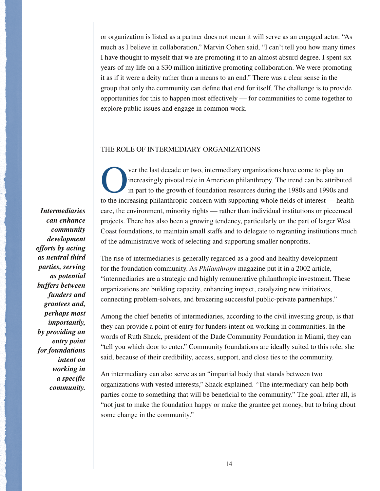or organization is listed as a partner does not mean it will serve as an engaged actor. "As much as I believe in collaboration," Marvin Cohen said, "I can't tell you how many times I have thought to myself that we are promoting it to an almost absurd degree. I spent six years of my life on a \$30 million initiative promoting collaboration. We were promoting it as if it were a deity rather than a means to an end." There was a clear sense in the group that only the community can define that end for itself. The challenge is to provide opportunities for this to happen most effectively — for communities to come together to explore public issues and engage in common work.

### THE ROLE OF INTERMEDIARY ORGANIZATIONS

*Intermediaries can enhance community development efforts by acting as neutral third parties, serving as potential buffers between funders and grantees and, perhaps most importantly, by providing an entry point for foundations intent on working in a specific community.*

Ver the last decade or two, intermediary organizations have come to play an increasingly pivotal role in American philanthropy. The trend can be attribute in part to the growth of foundation resources during the 1980s and increasingly pivotal role in American philanthropy. The trend can be attributed in part to the growth of foundation resources during the 1980s and 1990s and to the increasing philanthropic concern with supporting whole fields of interest — health care, the environment, minority rights — rather than individual institutions or piecemeal projects. There has also been a growing tendency, particularly on the part of larger West Coast foundations, to maintain small staffs and to delegate to regranting institutions much of the administrative work of selecting and supporting smaller nonprofits.

The rise of intermediaries is generally regarded as a good and healthy development for the foundation community. As *Philanthropy* magazine put it in a 2002 article, "intermediaries are a strategic and highly remunerative philanthropic investment. These organizations are building capacity, enhancing impact, catalyzing new initiatives, connecting problem-solvers, and brokering successful public-private partnerships."

Among the chief benefits of intermediaries, according to the civil investing group, is that they can provide a point of entry for funders intent on working in communities. In the words of Ruth Shack, president of the Dade Community Foundation in Miami, they can "tell you which door to enter." Community foundations are ideally suited to this role, she said, because of their credibility, access, support, and close ties to the community.

An intermediary can also serve as an "impartial body that stands between two organizations with vested interests," Shack explained. "The intermediary can help both parties come to something that will be beneficial to the community." The goal, after all, is "not just to make the foundation happy or make the grantee get money, but to bring about some change in the community."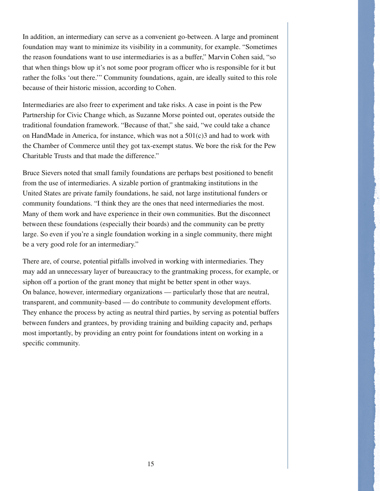In addition, an intermediary can serve as a convenient go-between. A large and prominent foundation may want to minimize its visibility in a community, for example. "Sometimes the reason foundations want to use intermediaries is as a buffer," Marvin Cohen said, "so that when things blow up it's not some poor program officer who is responsible for it but rather the folks 'out there.'" Community foundations, again, are ideally suited to this role because of their historic mission, according to Cohen.

Intermediaries are also freer to experiment and take risks. A case in point is the Pew Partnership for Civic Change which, as Suzanne Morse pointed out, operates outside the traditional foundation framework. "Because of that," she said, "we could take a chance on HandMade in America, for instance, which was not a  $501(c)3$  and had to work with the Chamber of Commerce until they got tax-exempt status. We bore the risk for the Pew Charitable Trusts and that made the difference."

Bruce Sievers noted that small family foundations are perhaps best positioned to benefit from the use of intermediaries. A sizable portion of grantmaking institutions in the United States are private family foundations, he said, not large institutional funders or community foundations. "I think they are the ones that need intermediaries the most. Many of them work and have experience in their own communities. But the disconnect between these foundations (especially their boards) and the community can be pretty large. So even if you're a single foundation working in a single community, there might be a very good role for an intermediary."

There are, of course, potential pitfalls involved in working with intermediaries. They may add an unnecessary layer of bureaucracy to the grantmaking process, for example, or siphon off a portion of the grant money that might be better spent in other ways. On balance, however, intermediary organizations — particularly those that are neutral, transparent, and community-based — do contribute to community development efforts. They enhance the process by acting as neutral third parties, by serving as potential buffers between funders and grantees, by providing training and building capacity and, perhaps most importantly, by providing an entry point for foundations intent on working in a specific community.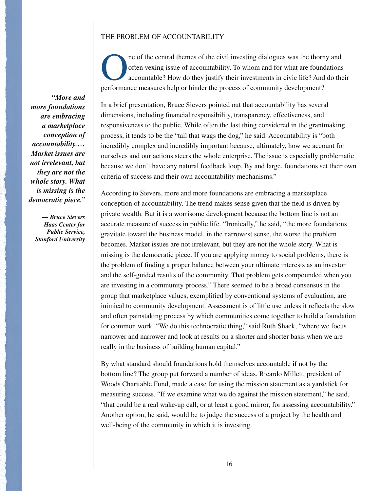## THE PROBLEM OF ACCOUNTABILITY

ne of the central themes of the civil investing dialogues was the thorny and often vexing issue of accountability. To whom and for what are foundations accountable? How do they justify their investments in civic life? And often vexing issue of accountability. To whom and for what are foundations accountable? How do they justify their investments in civic life? And do their performance measures help or hinder the process of community development?

In a brief presentation, Bruce Sievers pointed out that accountability has several dimensions, including financial responsibility, transparency, effectiveness, and responsiveness to the public. While often the last thing considered in the grantmaking process, it tends to be the "tail that wags the dog," he said. Accountability is "both incredibly complex and incredibly important because, ultimately, how we account for ourselves and our actions steers the whole enterprise. The issue is especially problematic because we don't have any natural feedback loop. By and large, foundations set their own criteria of success and their own accountability mechanisms."

According to Sievers, more and more foundations are embracing a marketplace conception of accountability. The trend makes sense given that the field is driven by private wealth. But it is a worrisome development because the bottom line is not an accurate measure of success in public life. "Ironically," he said, "the more foundations gravitate toward the business model, in the narrowest sense, the worse the problem becomes. Market issues are not irrelevant, but they are not the whole story. What is missing is the democratic piece. If you are applying money to social problems, there is the problem of finding a proper balance between your ultimate interests as an investor and the self-guided results of the community. That problem gets compounded when you are investing in a community process." There seemed to be a broad consensus in the group that marketplace values, exemplified by conventional systems of evaluation, are inimical to community development. Assessment is of little use unless it reflects the slow and often painstaking process by which communities come together to build a foundation for common work. "We do this technocratic thing," said Ruth Shack, "where we focus narrower and narrower and look at results on a shorter and shorter basis when we are really in the business of building human capital."

By what standard should foundations hold themselves accountable if not by the bottom line? The group put forward a number of ideas. Ricardo Millett, president of Woods Charitable Fund, made a case for using the mission statement as a yardstick for measuring success. "If we examine what we do against the mission statement," he said, "that could be a real wake-up call, or at least a good mirror, for assessing accountability." Another option, he said, would be to judge the success of a project by the health and well-being of the community in which it is investing.

*"More and more foundations are embracing a marketplace conception of accountability.… Market issues are not irrelevant, but they are not the whole story. What is missing is the democratic piece."*

> *— Bruce Sievers Haas Center for Public Service, Stanford University*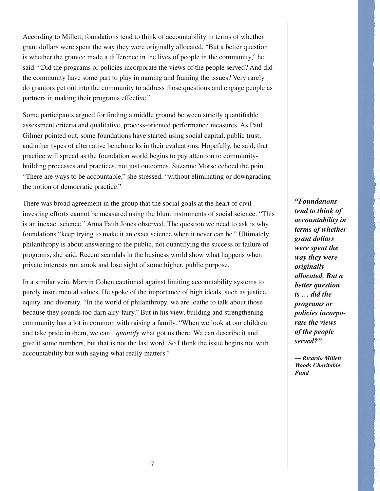According to Millett, foundations tend to think of accountability in terms of whether grant dollars were spent the way they were originally allocated. "But a better question is whether the grantee made a difference in the lives of people in the community," he said. "Did the programs or policies incorporate the views of the people served? And did the community have some part to play in naming and framing the issues? Very rarely do grantors get out into the community to address those questions and engage people as partners in making their programs effective."

Some participants argued for finding a middle ground between strictly quantifiable assessment criteria and qualitative, process-oriented performance measures. As Paul Gilmer pointed out, some foundations have started using social capital, public trust, and other types of alternative benchmarks in their evaluations. Hopefully, he said, that practice will spread as the foundation world begins to pay attention to communitybuilding processes and practices, not just outcomes. Suzanne Morse echoed the point. "There are ways to be accountable," she stressed, "without eliminating or downgrading the notion of democratic practice."

There was broad agreement in the group that the social goals at the heart of civil investing efforts cannot be measured using the blunt instruments of social science. "This is an inexact science," Anna Faith Jones observed. The question we need to ask is why foundations "keep trying to make it an exact science when it never can be." Ultimately, philanthropy is about answering to the public, not quantifying the success or failure of programs, she said. Recent scandals in the business world show what happens when private interests run amok and lose sight of some higher, public purpose.

In a similar vein, Marvin Cohen cautioned against limiting accountability systems to purely instrumental values. He spoke of the importance of high ideals, such as justice, equity, and diversity. "In the world of philanthropy, we are loathe to talk about those because they sounds too darn airy-fairy." But in his view, building and strengthening community has a lot in common with raising a family. "When we look at our children and take pride in them, we can't *quantify* what got us there. We can describe it and give it some numbers, but that is not the last word. So I think the issue begins not with accountability but with saying what really matters."

*"Foundations tend to think of accountability in terms of whether grant dollars were spent the way they were originally allocated. But a better question is … did the programs or policies incorporate the views of the people served?"*

*— Ricardo Millett Woods Charitable Fund*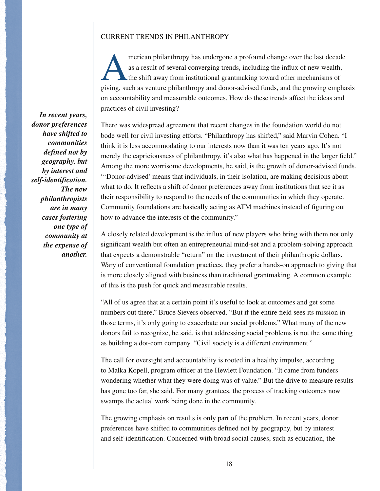#### CURRENT TRENDS IN PHILANTHROPY

merican philanthropy has undergone a profound change over the last decade<br>as a result of several converging trends, including the influx of new wealth,<br>the shift away from institutional grantmaking toward other mechanisms as a result of several converging trends, including the influx of new wealth, the shift away from institutional grantmaking toward other mechanisms of giving, such as venture philanthropy and donor-advised funds, and the growing emphasis on accountability and measurable outcomes. How do these trends affect the ideas and practices of civil investing?

There was widespread agreement that recent changes in the foundation world do not bode well for civil investing efforts. "Philanthropy has shifted," said Marvin Cohen. "I think it is less accommodating to our interests now than it was ten years ago. It's not merely the capriciousness of philanthropy, it's also what has happened in the larger field." Among the more worrisome developments, he said, is the growth of donor-advised funds. "'Donor-advised' means that individuals, in their isolation, are making decisions about what to do. It reflects a shift of donor preferences away from institutions that see it as their responsibility to respond to the needs of the communities in which they operate. Community foundations are basically acting as ATM machines instead of figuring out how to advance the interests of the community."

A closely related development is the influx of new players who bring with them not only significant wealth but often an entrepreneurial mind-set and a problem-solving approach that expects a demonstrable "return" on the investment of their philanthropic dollars. Wary of conventional foundation practices, they prefer a hands-on approach to giving that is more closely aligned with business than traditional grantmaking. A common example of this is the push for quick and measurable results.

"All of us agree that at a certain point it's useful to look at outcomes and get some numbers out there," Bruce Sievers observed. "But if the entire field sees its mission in those terms, it's only going to exacerbate our social problems." What many of the new donors fail to recognize, he said, is that addressing social problems is not the same thing as building a dot-com company. "Civil society is a different environment."

The call for oversight and accountability is rooted in a healthy impulse, according to Malka Kopell, program officer at the Hewlett Foundation. "It came from funders wondering whether what they were doing was of value." But the drive to measure results has gone too far, she said. For many grantees, the process of tracking outcomes now swamps the actual work being done in the community.

The growing emphasis on results is only part of the problem. In recent years, donor preferences have shifted to communities defined not by geography, but by interest and self-identification. Concerned with broad social causes, such as education, the

*In recent years, donor preferences have shifted to communities defined not by geography, but by interest and self-identification. The new philanthropists are in many cases fostering one type of community at the expense of another.*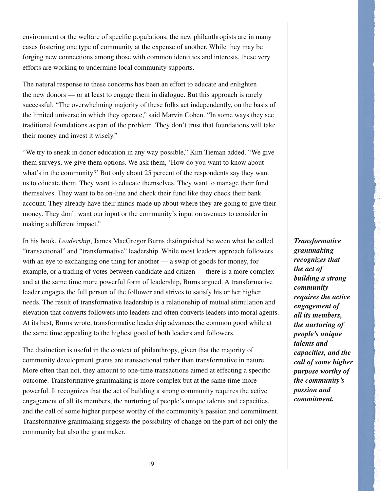environment or the welfare of specific populations, the new philanthropists are in many cases fostering one type of community at the expense of another. While they may be forging new connections among those with common identities and interests, these very efforts are working to undermine local community supports.

The natural response to these concerns has been an effort to educate and enlighten the new donors — or at least to engage them in dialogue. But this approach is rarely successful. "The overwhelming majority of these folks act independently, on the basis of the limited universe in which they operate," said Marvin Cohen. "In some ways they see traditional foundations as part of the problem. They don't trust that foundations will take their money and invest it wisely."

"We try to sneak in donor education in any way possible," Kim Tieman added. "We give them surveys, we give them options. We ask them, 'How do you want to know about what's in the community?' But only about 25 percent of the respondents say they want us to educate them. They want to educate themselves. They want to manage their fund themselves. They want to be on-line and check their fund like they check their bank account. They already have their minds made up about where they are going to give their money. They don't want our input or the community's input on avenues to consider in making a different impact."

In his book, *Leadership*, James MacGregor Burns distinguished between what he called "transactional" and "transformative" leadership. While most leaders approach followers with an eye to exchanging one thing for another — a swap of goods for money, for example, or a trading of votes between candidate and citizen — there is a more complex and at the same time more powerful form of leadership, Burns argued. A transformative leader engages the full person of the follower and strives to satisfy his or her higher needs. The result of transformative leadership is a relationship of mutual stimulation and elevation that converts followers into leaders and often converts leaders into moral agents. At its best, Burns wrote, transformative leadership advances the common good while at the same time appealing to the highest good of both leaders and followers.

The distinction is useful in the context of philanthropy, given that the majority of community development grants are transactional rather than transformative in nature. More often than not, they amount to one-time transactions aimed at effecting a specific outcome. Transformative grantmaking is more complex but at the same time more powerful. It recognizes that the act of building a strong community requires the active engagement of all its members, the nurturing of people's unique talents and capacities, and the call of some higher purpose worthy of the community's passion and commitment. Transformative grantmaking suggests the possibility of change on the part of not only the community but also the grantmaker.

*Transformative grantmaking recognizes that the act of building a strong community requires the active engagement of all its members, the nurturing of people's unique talents and capacities, and the call of some higher purpose worthy of the community's passion and commitment.*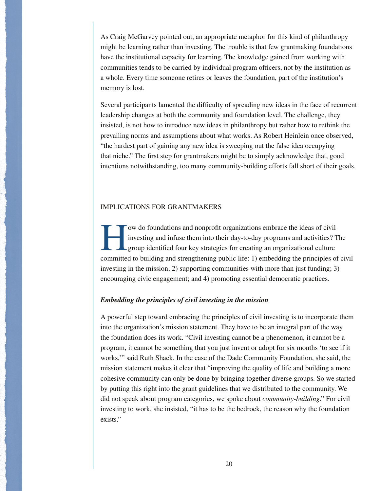As Craig McGarvey pointed out, an appropriate metaphor for this kind of philanthropy might be learning rather than investing. The trouble is that few grantmaking foundations have the institutional capacity for learning. The knowledge gained from working with communities tends to be carried by individual program officers, not by the institution as a whole. Every time someone retires or leaves the foundation, part of the institution's memory is lost.

Several participants lamented the difficulty of spreading new ideas in the face of recurrent leadership changes at both the community and foundation level. The challenge, they insisted, is not how to introduce new ideas in philanthropy but rather how to rethink the prevailing norms and assumptions about what works. As Robert Heinlein once observed, "the hardest part of gaining any new idea is sweeping out the false idea occupying that niche." The first step for grantmakers might be to simply acknowledge that, good intentions notwithstanding, too many community-building efforts fall short of their goals.

## IMPLICATIONS FOR GRANTMAKERS

Tow do foundations and nonprofit organizations embrace the ideas of civil<br>investing and infuse them into their day-to-day programs and activities? The<br>group identified four key strategies for creating an organizational cul investing and infuse them into their day-to-day programs and activities? The group identified four key strategies for creating an organizational culture committed to building and strengthening public life: 1) embedding the principles of civil investing in the mission; 2) supporting communities with more than just funding; 3) encouraging civic engagement; and 4) promoting essential democratic practices.

# *Embedding the principles of civil investing in the mission*

A powerful step toward embracing the principles of civil investing is to incorporate them into the organization's mission statement. They have to be an integral part of the way the foundation does its work. "Civil investing cannot be a phenomenon, it cannot be a program, it cannot be something that you just invent or adopt for six months 'to see if it works,'" said Ruth Shack. In the case of the Dade Community Foundation, she said, the mission statement makes it clear that "improving the quality of life and building a more cohesive community can only be done by bringing together diverse groups. So we started by putting this right into the grant guidelines that we distributed to the community. We did not speak about program categories, we spoke about *community-building*." For civil investing to work, she insisted, "it has to be the bedrock, the reason why the foundation exists."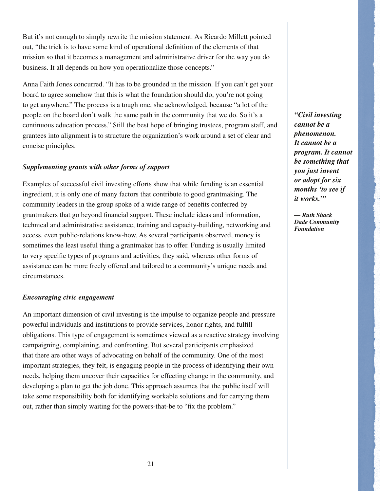But it's not enough to simply rewrite the mission statement. As Ricardo Millett pointed out, "the trick is to have some kind of operational definition of the elements of that mission so that it becomes a management and administrative driver for the way you do business. It all depends on how you operationalize those concepts."

Anna Faith Jones concurred. "It has to be grounded in the mission. If you can't get your board to agree somehow that this is what the foundation should do, you're not going to get anywhere." The process is a tough one, she acknowledged, because "a lot of the people on the board don't walk the same path in the community that we do. So it's a continuous education process." Still the best hope of bringing trustees, program staff, and grantees into alignment is to structure the organization's work around a set of clear and concise principles.

# *Supplementing grants with other forms of support*

Examples of successful civil investing efforts show that while funding is an essential ingredient, it is only one of many factors that contribute to good grantmaking. The community leaders in the group spoke of a wide range of benefits conferred by grantmakers that go beyond financial support. These include ideas and information, technical and administrative assistance, training and capacity-building, networking and access, even public-relations know-how. As several participants observed, money is sometimes the least useful thing a grantmaker has to offer. Funding is usually limited to very specific types of programs and activities, they said, whereas other forms of assistance can be more freely offered and tailored to a community's unique needs and circumstances.

## *Encouraging civic engagement*

An important dimension of civil investing is the impulse to organize people and pressure powerful individuals and institutions to provide services, honor rights, and fulfill obligations. This type of engagement is sometimes viewed as a reactive strategy involving campaigning, complaining, and confronting. But several participants emphasized that there are other ways of advocating on behalf of the community. One of the most important strategies, they felt, is engaging people in the process of identifying their own needs, helping them uncover their capacities for effecting change in the community, and developing a plan to get the job done. This approach assumes that the public itself will take some responsibility both for identifying workable solutions and for carrying them out, rather than simply waiting for the powers-that-be to "fix the problem."

*"Civil investing cannot be a phenomenon. It cannot be a program. It cannot be something that you just invent or adopt for six months 'to see if it works.'"*

*— Ruth Shack Dade Community Foundation*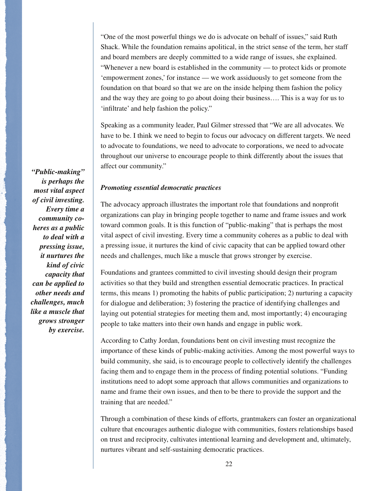"One of the most powerful things we do is advocate on behalf of issues," said Ruth Shack. While the foundation remains apolitical, in the strict sense of the term, her staff and board members are deeply committed to a wide range of issues, she explained. "Whenever a new board is established in the community — to protect kids or promote 'empowerment zones,' for instance — we work assiduously to get someone from the foundation on that board so that we are on the inside helping them fashion the policy and the way they are going to go about doing their business…. This is a way for us to 'infiltrate' and help fashion the policy."

Speaking as a community leader, Paul Gilmer stressed that "We are all advocates. We have to be. I think we need to begin to focus our advocacy on different targets. We need to advocate to foundations, we need to advocate to corporations, we need to advocate throughout our universe to encourage people to think differently about the issues that affect our community."

## *Promoting essential democratic practices*

The advocacy approach illustrates the important role that foundations and nonprofit organizations can play in bringing people together to name and frame issues and work toward common goals. It is this function of "public-making" that is perhaps the most vital aspect of civil investing. Every time a community coheres as a public to deal with a pressing issue, it nurtures the kind of civic capacity that can be applied toward other needs and challenges, much like a muscle that grows stronger by exercise.

Foundations and grantees committed to civil investing should design their program activities so that they build and strengthen essential democratic practices. In practical terms, this means 1) promoting the habits of public participation; 2) nurturing a capacity for dialogue and deliberation; 3) fostering the practice of identifying challenges and laying out potential strategies for meeting them and, most importantly; 4) encouraging people to take matters into their own hands and engage in public work.

According to Cathy Jordan, foundations bent on civil investing must recognize the importance of these kinds of public-making activities. Among the most powerful ways to build community, she said, is to encourage people to collectively identify the challenges facing them and to engage them in the process of finding potential solutions. "Funding institutions need to adopt some approach that allows communities and organizations to name and frame their own issues, and then to be there to provide the support and the training that are needed."

Through a combination of these kinds of efforts, grantmakers can foster an organizational culture that encourages authentic dialogue with communities, fosters relationships based on trust and reciprocity, cultivates intentional learning and development and, ultimately, nurtures vibrant and self-sustaining democratic practices.

*"Public-making" is perhaps the most vital aspect of civil investing. Every time a community coheres as a public to deal with a pressing issue, it nurtures the kind of civic capacity that can be applied to other needs and challenges, much like a muscle that grows stronger by exercise.*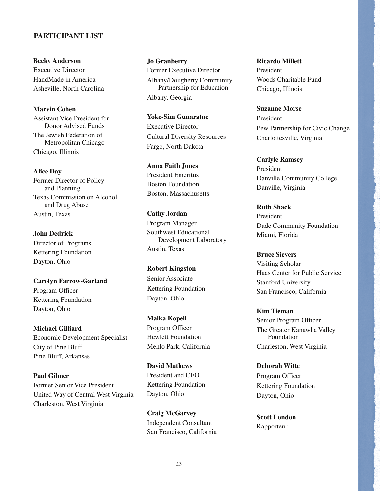# **PARTICIPANT LIST**

**Becky Anderson** Executive Director HandMade in America Asheville, North Carolina

**Marvin Cohen** Assistant Vice President for Donor Advised Funds The Jewish Federation of Metropolitan Chicago Chicago, Illinois

**Alice Day** Former Director of Policy and Planning Texas Commission on Alcohol and Drug Abuse Austin, Texas

**John Dedrick** Director of Programs Kettering Foundation Dayton, Ohio

**Carolyn Farrow-Garland** Program Officer Kettering Foundation Dayton, Ohio

**Michael Gilliard** Economic Development Specialist City of Pine Bluff Pine Bluff, Arkansas

**Paul Gilmer** Former Senior Vice President United Way of Central West Virginia Charleston, West Virginia

**Jo Granberry** Former Executive Director Albany/Dougherty Community Partnership for Education Albany, Georgia

**Yoke-Sim Gunaratne** Executive Director Cultural Diversity Resources Fargo, North Dakota

**Anna Faith Jones** President Emeritus Boston Foundation Boston, Massachusetts

**Cathy Jordan** Program Manager Southwest Educational Development Laboratory Austin, Texas

**Robert Kingston** Senior Associate Kettering Foundation Dayton, Ohio

**Malka Kopell** Program Officer Hewlett Foundation Menlo Park, California

**David Mathews** President and CEO Kettering Foundation Dayton, Ohio

**Craig McGarvey** Independent Consultant San Francisco, California

**Ricardo Millett** President Woods Charitable Fund Chicago, Illinois

**Suzanne Morse** President Pew Partnership for Civic Change Charlottesville, Virginia

**Carlyle Ramsey** President Danville Community College Danville, Virginia

**Ruth Shack** President Dade Community Foundation Miami, Florida

**Bruce Sievers** Visiting Scholar Haas Center for Public Service Stanford University San Francisco, California

**Kim Tieman** Senior Program Officer The Greater Kanawha Valley Foundation Charleston, West Virginia

**Deborah Witte** Program Officer Kettering Foundation Dayton, Ohio

**Scott London** Rapporteur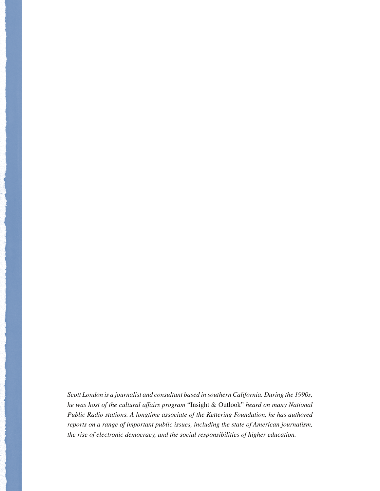*Scott London is a journalist and consultant based in southern California. During the 1990s, he was host of the cultural affairs program* "Insight & Outlook" *heard on many National Public Radio stations. A longtime associate of the Kettering Foundation, he has authored reports on a range of important public issues, including the state of American journalism, the rise of electronic democracy, and the social responsibilities of higher education.*